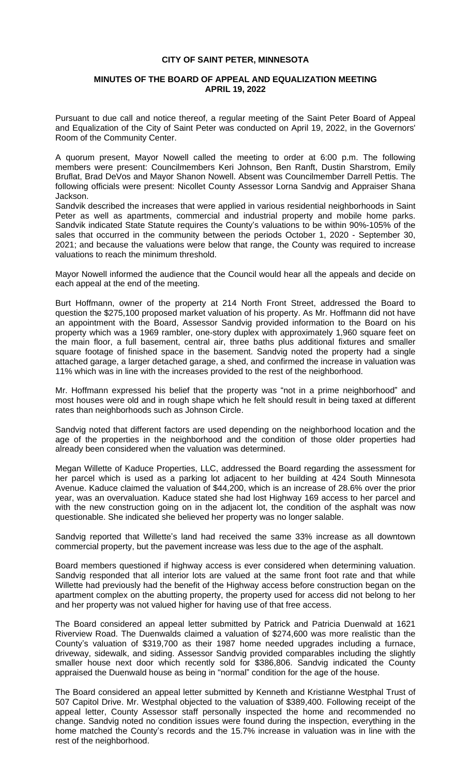## **CITY OF SAINT PETER, MINNESOTA**

## **MINUTES OF THE BOARD OF APPEAL AND EQUALIZATION MEETING APRIL 19, 2022**

Pursuant to due call and notice thereof, a regular meeting of the Saint Peter Board of Appeal and Equalization of the City of Saint Peter was conducted on April 19, 2022, in the Governors' Room of the Community Center.

A quorum present, Mayor Nowell called the meeting to order at 6:00 p.m. The following members were present: Councilmembers Keri Johnson, Ben Ranft, Dustin Sharstrom, Emily Bruflat, Brad DeVos and Mayor Shanon Nowell. Absent was Councilmember Darrell Pettis. The following officials were present: Nicollet County Assessor Lorna Sandvig and Appraiser Shana Jackson.

Sandvik described the increases that were applied in various residential neighborhoods in Saint Peter as well as apartments, commercial and industrial property and mobile home parks. Sandvik indicated State Statute requires the County's valuations to be within 90%-105% of the sales that occurred in the community between the periods October 1, 2020 - September 30, 2021; and because the valuations were below that range, the County was required to increase valuations to reach the minimum threshold.

Mayor Nowell informed the audience that the Council would hear all the appeals and decide on each appeal at the end of the meeting.

Burt Hoffmann, owner of the property at 214 North Front Street, addressed the Board to question the \$275,100 proposed market valuation of his property. As Mr. Hoffmann did not have an appointment with the Board, Assessor Sandvig provided information to the Board on his property which was a 1969 rambler, one-story duplex with approximately 1,960 square feet on the main floor, a full basement, central air, three baths plus additional fixtures and smaller square footage of finished space in the basement. Sandvig noted the property had a single attached garage, a larger detached garage, a shed, and confirmed the increase in valuation was 11% which was in line with the increases provided to the rest of the neighborhood.

Mr. Hoffmann expressed his belief that the property was "not in a prime neighborhood" and most houses were old and in rough shape which he felt should result in being taxed at different rates than neighborhoods such as Johnson Circle.

Sandvig noted that different factors are used depending on the neighborhood location and the age of the properties in the neighborhood and the condition of those older properties had already been considered when the valuation was determined.

Megan Willette of Kaduce Properties, LLC, addressed the Board regarding the assessment for her parcel which is used as a parking lot adjacent to her building at 424 South Minnesota Avenue. Kaduce claimed the valuation of \$44,200, which is an increase of 28.6% over the prior year, was an overvaluation. Kaduce stated she had lost Highway 169 access to her parcel and with the new construction going on in the adjacent lot, the condition of the asphalt was now questionable. She indicated she believed her property was no longer salable.

Sandvig reported that Willette's land had received the same 33% increase as all downtown commercial property, but the pavement increase was less due to the age of the asphalt.

Board members questioned if highway access is ever considered when determining valuation. Sandvig responded that all interior lots are valued at the same front foot rate and that while Willette had previously had the benefit of the Highway access before construction began on the apartment complex on the abutting property, the property used for access did not belong to her and her property was not valued higher for having use of that free access.

The Board considered an appeal letter submitted by Patrick and Patricia Duenwald at 1621 Riverview Road. The Duenwalds claimed a valuation of \$274,600 was more realistic than the County's valuation of \$319,700 as their 1987 home needed upgrades including a furnace, driveway, sidewalk, and siding. Assessor Sandvig provided comparables including the slightly smaller house next door which recently sold for \$386,806. Sandvig indicated the County appraised the Duenwald house as being in "normal" condition for the age of the house.

The Board considered an appeal letter submitted by Kenneth and Kristianne Westphal Trust of 507 Capitol Drive. Mr. Westphal objected to the valuation of \$389,400. Following receipt of the appeal letter, County Assessor staff personally inspected the home and recommended no change. Sandvig noted no condition issues were found during the inspection, everything in the home matched the County's records and the 15.7% increase in valuation was in line with the rest of the neighborhood.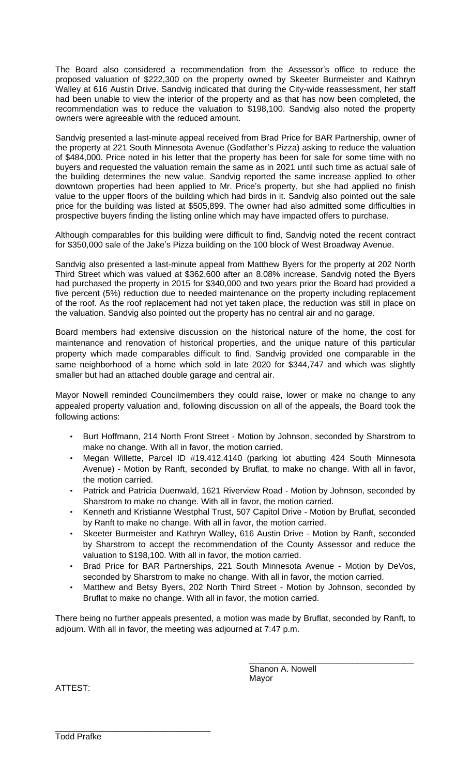The Board also considered a recommendation from the Assessor's office to reduce the proposed valuation of \$222,300 on the property owned by Skeeter Burmeister and Kathryn Walley at 616 Austin Drive. Sandvig indicated that during the City-wide reassessment, her staff had been unable to view the interior of the property and as that has now been completed, the recommendation was to reduce the valuation to \$198,100. Sandvig also noted the property owners were agreeable with the reduced amount.

Sandvig presented a last-minute appeal received from Brad Price for BAR Partnership, owner of the property at 221 South Minnesota Avenue (Godfather's Pizza) asking to reduce the valuation of \$484,000. Price noted in his letter that the property has been for sale for some time with no buyers and requested the valuation remain the same as in 2021 until such time as actual sale of the building determines the new value. Sandvig reported the same increase applied to other downtown properties had been applied to Mr. Price's property, but she had applied no finish value to the upper floors of the building which had birds in it. Sandvig also pointed out the sale price for the building was listed at \$505,899. The owner had also admitted some difficulties in prospective buyers finding the listing online which may have impacted offers to purchase.

Although comparables for this building were difficult to find, Sandvig noted the recent contract for \$350,000 sale of the Jake's Pizza building on the 100 block of West Broadway Avenue.

Sandvig also presented a last-minute appeal from Matthew Byers for the property at 202 North Third Street which was valued at \$362,600 after an 8.08% increase. Sandvig noted the Byers had purchased the property in 2015 for \$340,000 and two years prior the Board had provided a five percent (5%) reduction due to needed maintenance on the property including replacement of the roof. As the roof replacement had not yet taken place, the reduction was still in place on the valuation. Sandvig also pointed out the property has no central air and no garage.

Board members had extensive discussion on the historical nature of the home, the cost for maintenance and renovation of historical properties, and the unique nature of this particular property which made comparables difficult to find. Sandvig provided one comparable in the same neighborhood of a home which sold in late 2020 for \$344,747 and which was slightly smaller but had an attached double garage and central air.

Mayor Nowell reminded Councilmembers they could raise, lower or make no change to any appealed property valuation and, following discussion on all of the appeals, the Board took the following actions:

- Burt Hoffmann, 214 North Front Street Motion by Johnson, seconded by Sharstrom to make no change. With all in favor, the motion carried.
- Megan Willette, Parcel ID #19.412.4140 (parking lot abutting 424 South Minnesota Avenue) - Motion by Ranft, seconded by Bruflat, to make no change. With all in favor, the motion carried.
- Patrick and Patricia Duenwald, 1621 Riverview Road Motion by Johnson, seconded by Sharstrom to make no change. With all in favor, the motion carried.
- Kenneth and Kristianne Westphal Trust, 507 Capitol Drive Motion by Bruflat, seconded by Ranft to make no change. With all in favor, the motion carried.
- Skeeter Burmeister and Kathryn Walley, 616 Austin Drive Motion by Ranft, seconded by Sharstrom to accept the recommendation of the County Assessor and reduce the valuation to \$198,100. With all in favor, the motion carried.
- Brad Price for BAR Partnerships, 221 South Minnesota Avenue Motion by DeVos, seconded by Sharstrom to make no change. With all in favor, the motion carried.
- Matthew and Betsy Byers, 202 North Third Street Motion by Johnson, seconded by Bruflat to make no change. With all in favor, the motion carried.

There being no further appeals presented, a motion was made by Bruflat, seconded by Ranft, to adjourn. With all in favor, the meeting was adjourned at 7:47 p.m.

> Shanon A. Nowell Mayor

\_\_\_\_\_\_\_\_\_\_\_\_\_\_\_\_\_\_\_\_\_\_\_\_\_\_\_\_\_\_\_\_\_\_\_

ATTEST:

\_\_\_\_\_\_\_\_\_\_\_\_\_\_\_\_\_\_\_\_\_\_\_\_\_\_\_\_\_\_\_\_\_ Todd Prafke